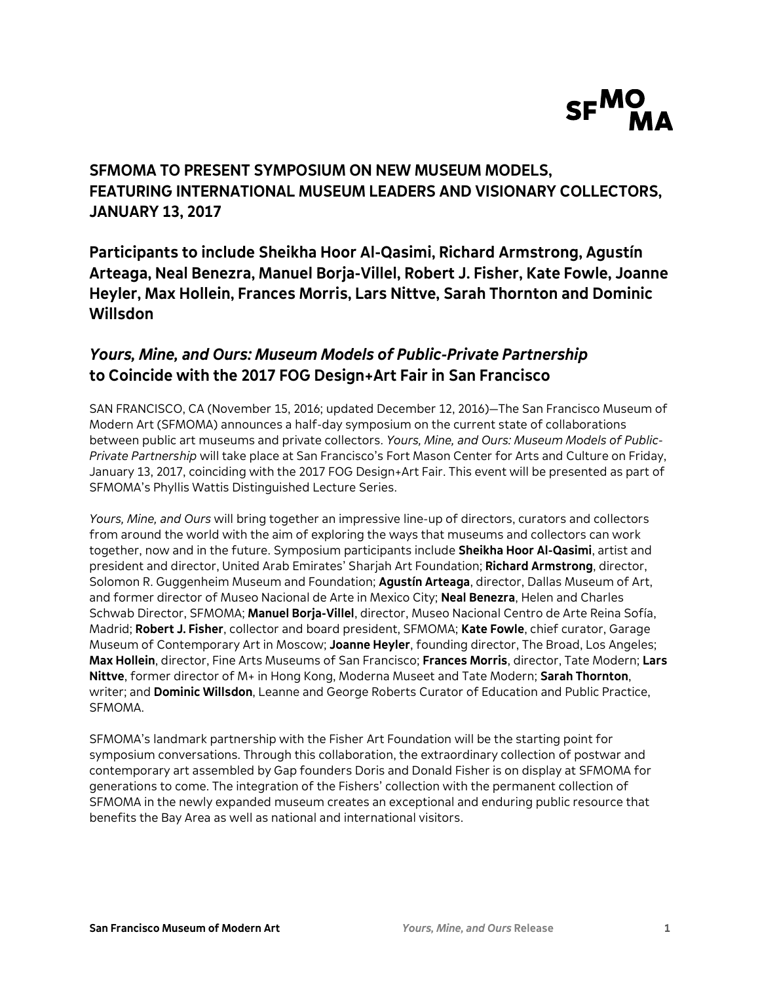

# **SFMOMA TO PRESENT SYMPOSIUM ON NEW MUSEUM MODELS, FEATURING INTERNATIONAL MUSEUM LEADERS AND VISIONARY COLLECTORS, JANUARY 13, 2017**

**Participants to include Sheikha Hoor Al-Qasimi, Richard Armstrong, Agustín Arteaga, Neal Benezra, Manuel Borja-Villel, Robert J. Fisher, Kate Fowle, Joanne Heyler, Max Hollein, Frances Morris, Lars Nittve, Sarah Thornton and Dominic Willsdon**

# *Yours, Mine, and Ours: Museum Models of Public-Private Partnership* **to Coincide with the 2017 FOG Design+Art Fair in San Francisco**

SAN FRANCISCO, CA (November 15, 2016; updated December 12, 2016)—The San Francisco Museum of Modern Art (SFMOMA) announces a half-day symposium on the current state of collaborations between public art museums and private collectors. *Yours, Mine, and Ours: Museum Models of Public-Private Partnership* will take place at San Francisco's Fort Mason Center for Arts and Culture on Friday, January 13, 2017, coinciding with the 2017 FOG Design+Art Fair. This event will be presented as part of SFMOMA's Phyllis Wattis Distinguished Lecture Series.

*Yours, Mine, and Ours* will bring together an impressive line-up of directors, curators and collectors from around the world with the aim of exploring the ways that museums and collectors can work together, now and in the future. Symposium participants include **Sheikha Hoor Al-Qasimi**, artist and president and director, United Arab Emirates' Sharjah Art Foundation; **Richard Armstrong**, director, Solomon R. Guggenheim Museum and Foundation; **Agustín Arteaga**, director, Dallas Museum of Art, and former director of Museo Nacional de Arte in Mexico City; **Neal Benezra**, Helen and Charles Schwab Director, SFMOMA; **Manuel Borja-Villel**, director, Museo Nacional Centro de Arte Reina Sofía, Madrid; **Robert J. Fisher**, collector and board president, SFMOMA; **Kate Fowle**, chief curator, Garage Museum of Contemporary Art in Moscow; **Joanne Heyler**, founding director, The Broad, Los Angeles; **Max Hollein**, director, Fine Arts Museums of San Francisco; **Frances Morris**, director, Tate Modern; **Lars Nittve**, former director of M+ in Hong Kong, Moderna Museet and Tate Modern; **Sarah Thornton**, writer; and **Dominic Willsdon**, Leanne and George Roberts Curator of Education and Public Practice, SFMOMA.

SFMOMA's landmark partnership with the Fisher Art Foundation will be the starting point for symposium conversations. Through this collaboration, the extraordinary collection of postwar and contemporary art assembled by Gap founders Doris and Donald Fisher is on display at SFMOMA for generations to come. The integration of the Fishers' collection with the permanent collection of SFMOMA in the newly expanded museum creates an exceptional and enduring public resource that benefits the Bay Area as well as national and international visitors.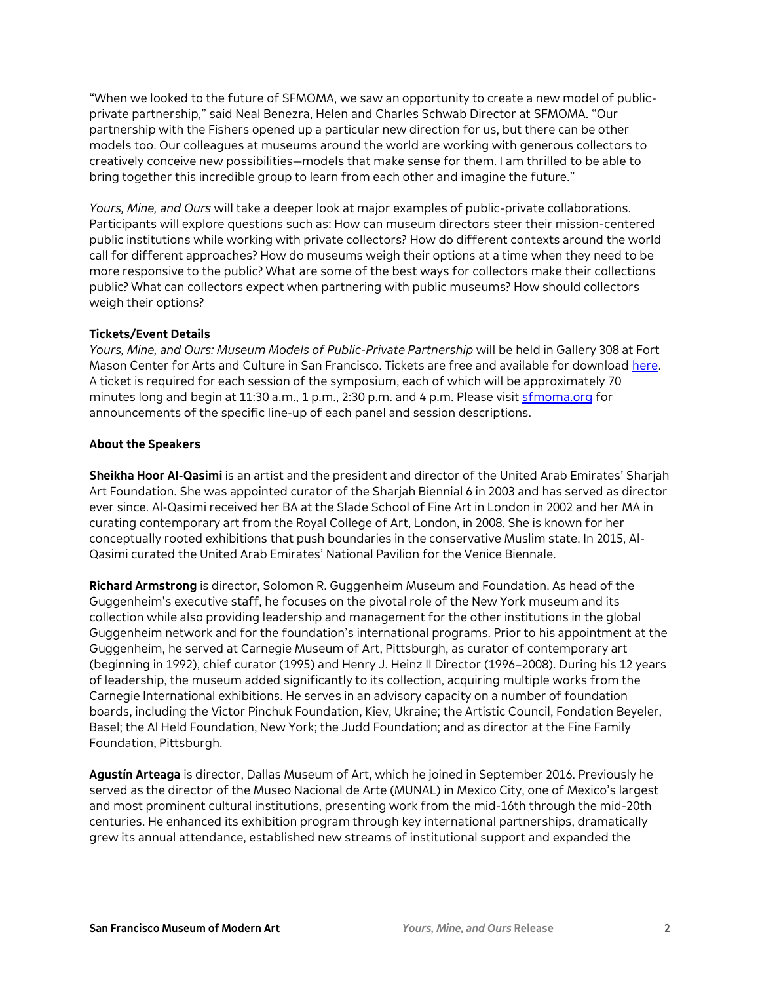"When we looked to the future of SFMOMA, we saw an opportunity to create a new model of publicprivate partnership," said Neal Benezra, Helen and Charles Schwab Director at SFMOMA. "Our partnership with the Fishers opened up a particular new direction for us, but there can be other models too. Our colleagues at museums around the world are working with generous collectors to creatively conceive new possibilities—models that make sense for them. I am thrilled to be able to bring together this incredible group to learn from each other and imagine the future."

*Yours, Mine, and Ours* will take a deeper look at major examples of public-private collaborations. Participants will explore questions such as: How can museum directors steer their mission-centered public institutions while working with private collectors? How do different contexts around the world call for different approaches? How do museums weigh their options at a time when they need to be more responsive to the public? What are some of the best ways for collectors make their collections public? What can collectors expect when partnering with public museums? How should collectors weigh their options?

## **Tickets/Event Details**

*Yours, Mine, and Ours: Museum Models of Public-Private Partnership* will be held in Gallery 308 at Fort Mason Center for Arts and Culture in San Francisco. Tickets are free and available for download [here.](https://www.sfmoma.org/event/yours-mine-and-ours/)  A ticket is required for each session of the symposium, each of which will be approximately 70 minutes long and begin at 11:30 a.m., 1 p.m., 2:30 p.m. and 4 p.m. Please visit [sfmoma.org](https://www.sfmoma.org/event/yours-mine-and-ours/) for announcements of the specific line-up of each panel and session descriptions.

## **About the Speakers**

**Sheikha Hoor Al-Qasimi** is an artist and the president and director of the United Arab Emirates' Sharjah Art Foundation. She was appointed curator of the Sharjah Biennial 6 in 2003 and has served as director ever since. Al-Qasimi received her BA at the Slade School of Fine Art in London in 2002 and her MA in curating contemporary art from the Royal College of Art, London, in 2008. She is known for her conceptually rooted exhibitions that push boundaries in the conservative Muslim state. In 2015, Al-Qasimi curated the United Arab Emirates' National Pavilion for the Venice Biennale.

**Richard Armstrong** is director, Solomon R. Guggenheim Museum and Foundation. As head of the Guggenheim's executive staff, he focuses on the pivotal role of the New York museum and its collection while also providing leadership and management for the other institutions in the global Guggenheim network and for the foundation's international programs. Prior to his appointment at the Guggenheim, he served at Carnegie Museum of Art, Pittsburgh, as curator of contemporary art (beginning in 1992), chief curator (1995) and Henry J. Heinz II Director (1996–2008). During his 12 years of leadership, the museum added significantly to its collection, acquiring multiple works from the Carnegie International exhibitions. He serves in an advisory capacity on a number of foundation boards, including the Victor Pinchuk Foundation, Kiev, Ukraine; the Artistic Council, Fondation Beyeler, Basel; the Al Held Foundation, New York; the Judd Foundation; and as director at the Fine Family Foundation, Pittsburgh.

**Agustín Arteaga** is director, Dallas Museum of Art, which he joined in September 2016. Previously he served as the director of the Museo Nacional de Arte (MUNAL) in Mexico City, one of Mexico's largest and most prominent cultural institutions, presenting work from the mid-16th through the mid-20th centuries. He enhanced its exhibition program through key international partnerships, dramatically grew its annual attendance, established new streams of institutional support and expanded the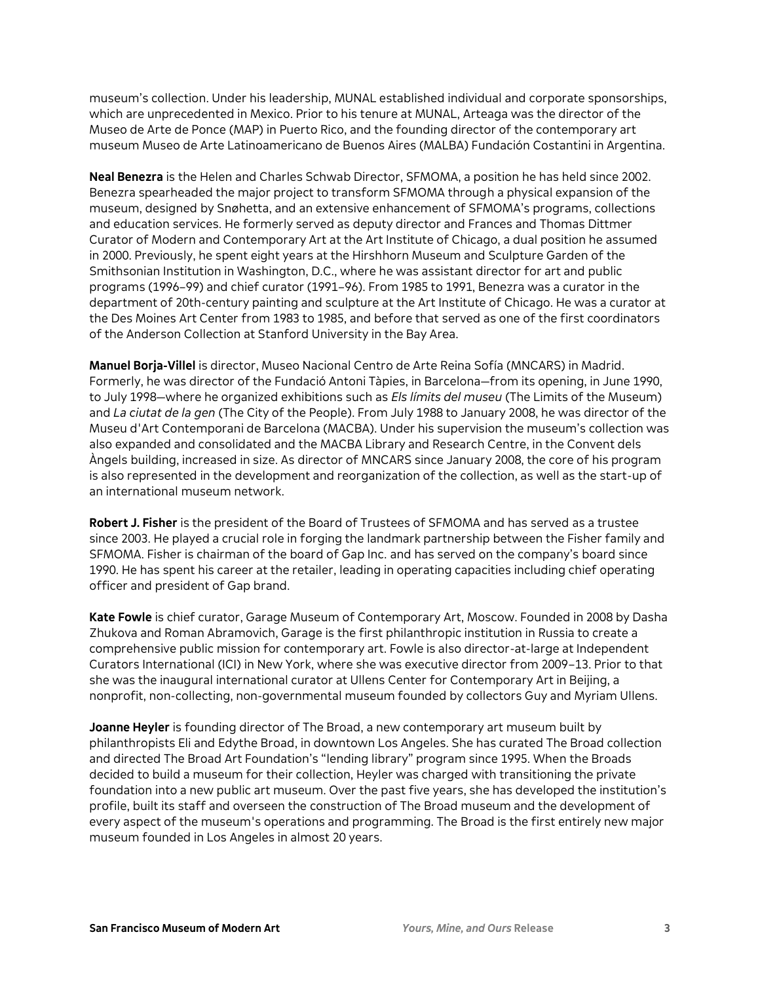museum's collection. Under his leadership, MUNAL established individual and corporate sponsorships, which are unprecedented in Mexico. Prior to his tenure at MUNAL, Arteaga was the director of the Museo de Arte de Ponce (MAP) in Puerto Rico, and the founding director of the contemporary art museum Museo de Arte Latinoamericano de Buenos Aires (MALBA) Fundación Costantini in Argentina.

**Neal Benezra** is the Helen and Charles Schwab Director, SFMOMA, a position he has held since 2002. Benezra spearheaded the major project to transform SFMOMA through a physical expansion of the museum, designed by Snøhetta, and an extensive enhancement of SFMOMA's programs, collections and education services. He formerly served as deputy director and Frances and Thomas Dittmer Curator of Modern and Contemporary Art at the Art Institute of Chicago, a dual position he assumed in 2000. Previously, he spent eight years at the Hirshhorn Museum and Sculpture Garden of the Smithsonian Institution in Washington, D.C., where he was assistant director for art and public programs (1996–99) and chief curator (1991–96). From 1985 to 1991, Benezra was a curator in the department of 20th-century painting and sculpture at the Art Institute of Chicago. He was a curator at the Des Moines Art Center from 1983 to 1985, and before that served as one of the first coordinators of the Anderson Collection at Stanford University in the Bay Area.

**Manuel Borja-Villel** is director, Museo Nacional Centro de Arte Reina Sofía (MNCARS) in Madrid. Formerly, he was director of the Fundació Antoni Tàpies, in Barcelona—from its opening, in June 1990, to July 1998—where he organized exhibitions such as *Els límits del museu* (The Limits of the Museum) and *La ciutat de la gen* (The City of the People). From July 1988 to January 2008, he was director of the Museu d'Art Contemporani de Barcelona (MACBA). Under his supervision the museum's collection was also expanded and consolidated and the MACBA Library and Research Centre, in the Convent dels Àngels building, increased in size. As director of MNCARS since January 2008, the core of his program is also represented in the development and reorganization of the collection, as well as the start-up of an international museum network.

**Robert J. Fisher** is the president of the Board of Trustees of SFMOMA and has served as a trustee since 2003. He played a crucial role in forging the landmark partnership between the Fisher family and SFMOMA. Fisher is chairman of the board of Gap Inc. and has served on the company's board since 1990. He has spent his career at the retailer, leading in operating capacities including chief operating officer and president of Gap brand.

**Kate Fowle** is chief curator, Garage Museum of Contemporary Art, Moscow. Founded in 2008 by Dasha Zhukova and Roman Abramovich, Garage is the first philanthropic institution in Russia to create a comprehensive public mission for contemporary art. Fowle is also director-at-large at Independent Curators International (ICI) in New York, where she was executive director from 2009–13. Prior to that she was the inaugural international curator at Ullens Center for Contemporary Art in Beijing, a nonprofit, non-collecting, non-governmental museum founded by collectors Guy and Myriam Ullens.

**Joanne Heyler** is founding director of The Broad, a new contemporary art museum built by philanthropists Eli and Edythe Broad, in downtown Los Angeles. She has curated The Broad collection and directed The Broad Art Foundation's "lending library" program since 1995. When the Broads decided to build a museum for their collection, Heyler was charged with transitioning the private foundation into a new public art museum. Over the past five years, she has developed the institution's profile, built its staff and overseen the construction of The Broad museum and the development of every aspect of the museum's operations and programming. The Broad is the first entirely new major museum founded in Los Angeles in almost 20 years.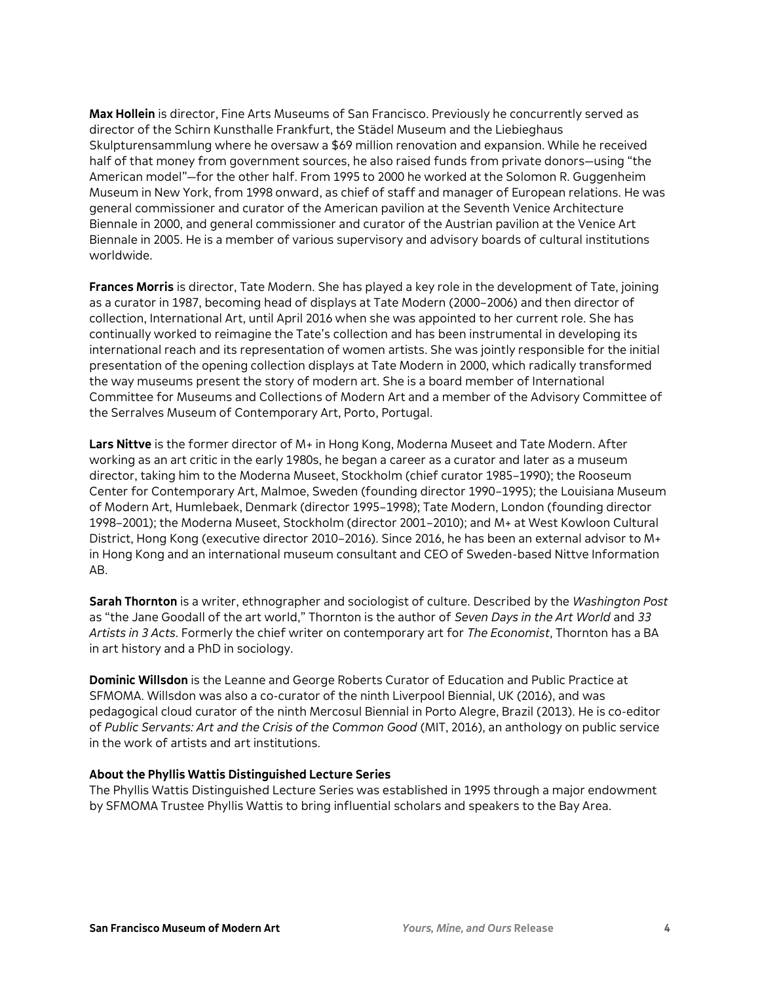**Max Hollein** is director, Fine Arts Museums of San Francisco. Previously he concurrently served as director of the Schirn Kunsthalle Frankfurt, the Städel Museum and the Liebieghaus Skulpturensammlung where he oversaw a \$69 million renovation and expansion. While he received half of that money from government sources, he also raised funds from private donors—using "the American model"—for the other half. From 1995 to 2000 he worked at the Solomon R. Guggenheim Museum in New York, from 1998 onward, as chief of staff and manager of European relations. He was general commissioner and curator of the American pavilion at the Seventh Venice Architecture Biennale in 2000, and general commissioner and curator of the Austrian pavilion at the Venice Art Biennale in 2005. He is a member of various supervisory and advisory boards of cultural institutions worldwide.

**Frances Morris** is director, Tate Modern. She has played a key role in the development of Tate, joining as a curator in 1987, becoming head of displays at Tate Modern (2000–2006) and then director of collection, International Art, until April 2016 when she was appointed to her current role. She has continually worked to reimagine the Tate's collection and has been instrumental in developing its international reach and its representation of women artists. She was jointly responsible for the initial presentation of the opening collection displays at Tate Modern in 2000, which radically transformed the way museums present the story of modern art. She is a board member of International Committee for Museums and Collections of Modern Art and a member of the Advisory Committee of the Serralves Museum of Contemporary Art, Porto, Portugal.

**Lars Nittve** is the former director of M+ in Hong Kong, Moderna Museet and Tate Modern. After working as an art critic in the early 1980s, he began a career as a curator and later as a museum director, taking him to the Moderna Museet, Stockholm (chief curator 1985–1990); the Rooseum Center for Contemporary Art, Malmoe, Sweden (founding director 1990–1995); the Louisiana Museum of Modern Art, Humlebaek, Denmark (director 1995–1998); Tate Modern, London (founding director 1998–2001); the Moderna Museet, Stockholm (director 2001–2010); and M+ at West Kowloon Cultural District, Hong Kong (executive director 2010–2016). Since 2016, he has been an external advisor to M+ in Hong Kong and an international museum consultant and CEO of Sweden-based Nittve Information AB.

**Sarah Thornton** is a writer, ethnographer and sociologist of culture. Described by the *Washington Post* as "the Jane Goodall of the art world," Thornton is the author of *Seven Days in the Art World* and *33 Artists in 3 Acts*. Formerly the chief writer on contemporary art for *The Economist*, Thornton has a BA in art history and a PhD in sociology.

**Dominic Willsdon** is the Leanne and George Roberts Curator of Education and Public Practice at SFMOMA. Willsdon was also a co-curator of the ninth Liverpool Biennial, UK (2016), and was pedagogical cloud curator of the ninth Mercosul Biennial in Porto Alegre, Brazil (2013). He is co-editor of *Public Servants: Art and the Crisis of the Common Good* (MIT, 2016), an anthology on public service in the work of artists and art institutions.

#### **About the Phyllis Wattis Distinguished Lecture Series**

The Phyllis Wattis Distinguished Lecture Series was established in 1995 through a major endowment by SFMOMA Trustee Phyllis Wattis to bring influential scholars and speakers to the Bay Area.